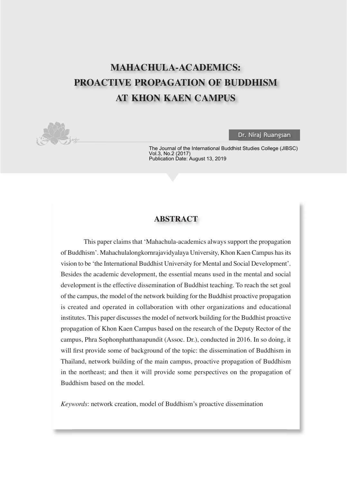# **MAHACHULA-ACADEMICS: PROACTIVE PROPAGATION OF BUDDHISM AT KHON KAEN CAMPUS**



**Dr. Niraj Ruangsan** 

The Journal of the International Buddhist Studies College (JIBSC) Vol.3, No.2 (2017) Publication Date: August 13, 2019

## **ABSTRACT**

This paper claims that 'Mahachula-academics always support the propagation of Buddhism'. Mahachulalongkornrajavidyalaya University, Khon Kaen Campus has its vision to be 'the International Buddhist University for Mental and Social Development'. Besides the academic development, the essential means used in the mental and social development is the effective dissemination of Buddhist teaching. To reach the set goal of the campus, the model of the network building for the Buddhist proactive propagation is created and operated in collaboration with other organizations and educational institutes. This paper discusses the model of network building for the Buddhist proactive propagation of Khon Kaen Campus based on the research of the Deputy Rector of the campus, Phra Sophonphatthanapundit (Assoc. Dr.), conducted in 2016. In so doing, it will first provide some of background of the topic: the dissemination of Buddhism in Thailand, network building of the main campus, proactive propagation of Buddhism in the northeast; and then it will provide some perspectives on the propagation of Buddhism based on the model.

*Keywords*: network creation, model of Buddhism's proactive dissemination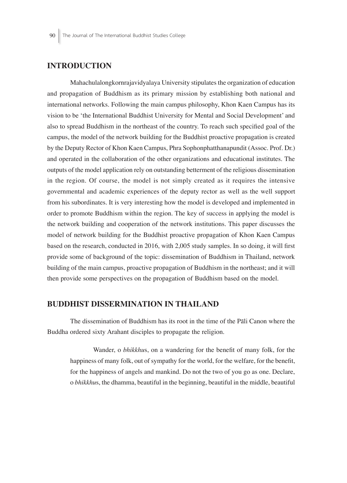## **INTRODUCTION**

Mahachulalongkornrajavidyalaya University stipulates the organization of education and propagation of Buddhism as its primary mission by establishing both national and international networks. Following the main campus philosophy, Khon Kaen Campus has its vision to be 'the International Buddhist University for Mental and Social Development' and also to spread Buddhism in the northeast of the country. To reach such specified goal of the campus, the model of the network building for the Buddhist proactive propagation is created by the Deputy Rector of Khon Kaen Campus, Phra Sophonphatthanapundit (Assoc. Prof. Dr.) and operated in the collaboration of the other organizations and educational institutes. The outputs of the model application rely on outstanding betterment of the religious dissemination in the region. Of course, the model is not simply created as it requires the intensive governmental and academic experiences of the deputy rector as well as the well support from his subordinates. It is very interesting how the model is developed and implemented in order to promote Buddhism within the region. The key of success in applying the model is the network building and cooperation of the network institutions. This paper discusses the model of network building for the Buddhist proactive propagation of Khon Kaen Campus based on the research, conducted in 2016, with 2,005 study samples. In so doing, it will first provide some of background of the topic: dissemination of Buddhism in Thailand, network building of the main campus, proactive propagation of Buddhism in the northeast; and it will then provide some perspectives on the propagation of Buddhism based on the model.

#### **BUDDHIST DISSERMINATION IN THAILAND**

The dissemination of Buddhism has its root in the time of the Pāli Canon where the Buddha ordered sixty Arahant disciples to propagate the religion.

Wander, o *bhikkhus*, on a wandering for the benefit of many folk, for the happiness of many folk, out of sympathy for the world, for the welfare, for the benefit, for the happiness of angels and mankind. Do not the two of you go as one. Declare, o *bhikkhu*s, the dhamma, beautiful in the beginning, beautiful in the middle, beautiful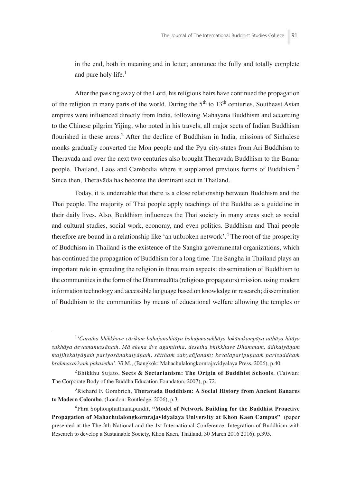in the end, both in meaning and in letter; announce the fully and totally complete and pure holy life. $<sup>1</sup>$ </sup>

After the passing away of the Lord, his religious heirs have continued the propagation of the religion in many parts of the world. During the  $5<sup>th</sup>$  to  $13<sup>th</sup>$  centuries, Southeast Asian empires were influenced directly from India, following Mahayana Buddhism and according to the Chinese pilgrim Yijing, who noted in his travels, all major sects of Indian Buddhism flourished in these areas.<sup>2</sup> After the decline of Buddhism in India, missions of Sinhalese monks gradually converted the Mon people and the Pyu city-states from Ari Buddhism to Theravāda and over the next two centuries also brought Theravāda Buddhism to the Bamar people, Thailand, Laos and Cambodia where it supplanted previous forms of Buddhism.<sup>3</sup> Since then, Theravāda has become the dominant sect in Thailand.

Today, it is undeniable that there is a close relationship between Buddhism and the Thai people. The majority of Thai people apply teachings of the Buddha as a guideline in their daily lives. Also, Buddhism influences the Thai society in many areas such as social and cultural studies, social work, economy, and even politics. Buddhism and Thai people therefore are bound in a relationship like 'an unbroken network'.<sup>4</sup> The root of the prosperity of Buddhism in Thailand is the existence of the Sangha governmental organizations, which has continued the propagation of Buddhism for a long time. The Sangha in Thailand plays an important role in spreading the religion in three main aspects: dissemination of Buddhism to the communities in the form of the Dhammadūta (religious propagators) mission, using modern information technology and accessible language based on knowledge or research; dissemination of Buddhism to the communities by means of educational welfare allowing the temples or

<sup>1</sup> '*Caratha bhikkhave cārikaṁ bahujanahitāya bahujanasukhāya lokānukampāya atthāya hitāya sukhāya devamanussānaṁ. Mā ekena dve agamittha, desetha bhikkhave Dhammaṁ, ādikalyāṇaṁ majjhekalyāṇaṁ pariyosānakalyāṇaṁ, sātthaṁ sabyañjanaṁ; kevalaparipuṇṇaṁ parisuddhaṁ brahmacariyaṁ pakāsetha*'. Vi.M., (Bangkok: Mahachulalongkornrajavidyalaya Press, 2006), p.40.

<sup>2</sup> Bhikkhu Sujato, **Sects & Sectarianism: The Origin of Buddhist Schools**, (Taiwan: The Corporate Body of the Buddha Education Foundaton, 2007), p. 72.

<sup>3</sup> Richard F. Gombrich, **Theravada Buddhism: A Social History from Ancient Banares to Modern Colombo**. (London: Routledge, 2006), p.3.

<sup>4</sup> Phra Sophonphatthanapundit, **"Model of Network Building for the Buddhist Proactive Propagation of Mahachulalongkornrajavidyalaya University at Khon Kaen Campus"**. (paper presented at the The 3th National and the 1st International Conference: Integration of Buddhism with Research to develop a Sustainable Society, Khon Kaen, Thailand, 30 March 2016 2016), p.395.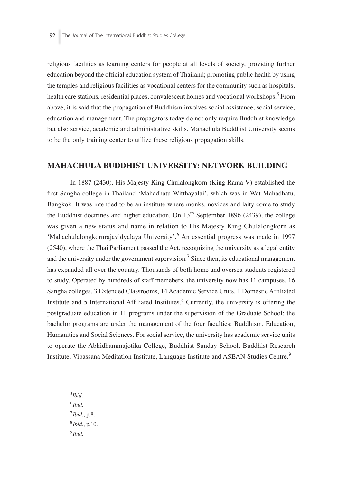religious facilities as learning centers for people at all levels of society, providing further education beyond the official education system of Thailand; promoting public health by using the temples and religious facilities as vocational centers for the community such as hospitals, health care stations, residential places, convalescent homes and vocational workshops.<sup>5</sup> From above, it is said that the propagation of Buddhism involves social assistance, social service, education and management. The propagators today do not only require Buddhist knowledge but also service, academic and administrative skills. Mahachula Buddhist University seems to be the only training center to utilize these religious propagation skills.

#### **MAHACHULA BUDDHIST UNIVERSITY: NETWORK BUILDING**

In 1887 (2430), His Majesty King Chulalongkorn (King Rama V) established the first Sangha college in Thailand 'Mahadhatu Witthayalai', which was in Wat Mahadhatu, Bangkok. It was intended to be an institute where monks, novices and laity come to study the Buddhist doctrines and higher education. On  $13<sup>th</sup>$  September 1896 (2439), the college was given a new status and name in relation to His Majesty King Chulalongkorn as 'Mahachulalongkornrajavidyalaya University'.<sup>6</sup> An essential progress was made in 1997 (2540), where the Thai Parliament passed the Act, recognizing the university as a legal entity and the university under the government supervision.<sup>7</sup> Since then, its educational management has expanded all over the country. Thousands of both home and oversea students registered to study. Operated by hundreds of staff memebers, the university now has 11 campuses, 16 Sangha colleges, 3 Extended Classrooms, 14 Academic Service Units, 1 Domestic Affiliated Institute and 5 International Affiliated Institutes.<sup>8</sup> Currently, the university is offering the postgraduate education in 11 programs under the supervision of the Graduate School; the bachelor programs are under the management of the four faculties: Buddhism, Education, Humanities and Social Sciences. For social service, the university has academic service units to operate the Abhidhammajotika College, Buddhist Sunday School, Buddhist Research Institute, Vipassana Meditation Institute, Language Institute and ASEAN Studies Centre.<sup>9</sup>

5 *Ibid*.

<sup>6</sup>*Ibid*. <sup>7</sup>*Ibid*., p.8. <sup>8</sup>*Ibid*., p.10. <sup>9</sup>*Ibid*.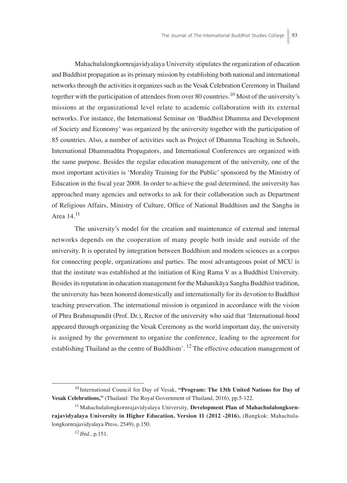Mahachulalongkornrajavidyalaya University stipulates the organization of education and Buddhist propagation as its primary mission by establishing both national and international networks through the activities it organizes such as the Vesak Celebration Ceremony in Thailand together with the participation of attendees from over 80 countries.<sup>10</sup> Most of the university's missions at the organizational level relate to academic collaboration with its external networks. For instance, the International Seminar on 'Buddhist Dhamma and Development of Society and Economy' was organized by the university together with the participation of 85 countries. Also, a number of activities such as Project of Dhamma Teaching in Schools, International Dhammadūta Propagators, and International Conferences are organized with the same purpose. Besides the regular education management of the university, one of the most important activities is 'Morality Training for the Public' sponsored by the Ministry of Education in the fiscal year 2008. In order to achieve the goal determined, the university has approached many agencies and networks to ask for their collaboration such as Department of Religious Affairs, Ministry of Culture, Office of National Buddhism and the Sangha in Area 14.<sup>11</sup>

The university's model for the creation and maintenance of external and internal networks depends on the cooperation of many people both inside and outside of the university. It is operated by integration between Buddhism and modern sciences as a corpus for connecting people, organizations and parties. The most advantageous point of MCU is that the institute was established at the initiation of King Rama V as a Buddhist University. Besides its reputation in education management for the Mahanikāya Sangha Buddhist tradition, the university has been honored domestically and internationally for its devotion to Buddhist teaching preservation. The international mission is organized in accordance with the vision of Phra Brahmapundit (Prof. Dr.), Rector of the university who said that 'International-hood appeared through organizing the Vesak Ceremony as the world important day, the university is assigned by the government to organize the conference, leading to the agreement for establishing Thailand as the centre of Buddhism'.  $^{12}$  The effective education management of

<sup>10</sup> International Council for Day of Vesak, **"Program: The 13th United Nations for Day of Vesak Celebrations,"** (Thailand: The Royal Government of Thailand, 2016), pp.5-122.

<sup>&</sup>lt;sup>11</sup> Mahachulalongkornrajavidyalaya University, Development Plan of Mahachulalongkorn**rajavidyalaya University in Higher Education, Version 11 (2012 -2016).** (Bangkok: Mahachulalongkornrajavidyalaya Press, 2549), p.150.

<sup>12</sup> *Ibid*., p.151.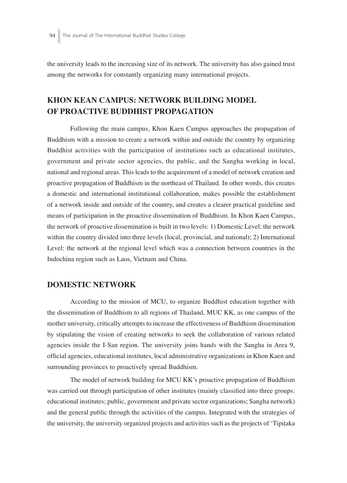the university leads to the increasing size of its network. The university has also gained trust among the networks for constantly organizing many international projects.

## **KHON KEAN CAMPUS: NETWORK BUILDING MODEL OF PROACTIVE BUDDHIST PROPAGATION**

Following the main campus, Khon Kaen Campus approaches the propagation of Buddhism with a mission to create a network within and outside the country by organizing Buddhist activities with the participation of institutions such as educational institutes, government and private sector agencies, the public, and the Sangha working in local, national and regional areas. This leads to the acquirement of a model of network creation and proactive propagation of Buddhism in the northeast of Thailand. In other words, this creates a domestic and international institutional collaboration, makes possible the establishment of a network inside and outside of the country, and creates a clearer practical guideline and means of participation in the proactive dissemination of Buddhism. In Khon Kaen Campus, the network of proactive dissemination is built in two levels: 1) Domestic Level: the network within the country divided into three levels (local, provincial, and national); 2) International Level: the network at the regional level which was a connection between countries in the Indochina region such as Laos, Vietnam and China.

### **DOMESTIC NETWORK**

According to the mission of MCU, to organize Buddhist education together with the dissemination of Buddhism to all regions of Thailand, MUC KK, as one campus of the mother university, critically attempts to increase the effectiveness of Buddhism dissemination by stipulating the vision of creating networks to seek the collaboration of various related agencies inside the I-San region. The university joins hands with the Sangha in Area 9, official agencies, educational institutes, local administrative organizations in Khon Kaen and surrounding provinces to proactively spread Buddhism.

The model of network building for MCU KK's proactive propagation of Buddhism was carried out through participation of other institutes (mainly classified into three groups: educational institutes; public, government and private sector organizations; Sangha network) and the general public through the activities of the campus. Integrated with the strategies of the university, the university organized projects and activities such as the projects of 'Tipitaka'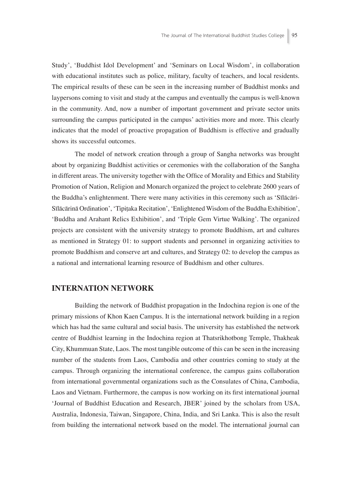Study', 'Buddhist Idol Development' and 'Seminars on Local Wisdom', in collaboration with educational institutes such as police, military, faculty of teachers, and local residents. The empirical results of these can be seen in the increasing number of Buddhist monks and laypersons coming to visit and study at the campus and eventually the campus is well-known in the community. And, now a number of important government and private sector units surrounding the campus participated in the campus' activities more and more. This clearly indicates that the model of proactive propagation of Buddhism is effective and gradually shows its successful outcomes.

The model of network creation through a group of Sangha networks was brought about by organizing Buddhist activities or ceremonies with the collaboration of the Sangha in different areas. The university together with the Office of Morality and Ethics and Stability Promotion of Nation, Religion and Monarch organized the project to celebrate 2600 years of the Buddha's enlightenment. There were many activities in this ceremony such as 'Sīlācāri-Sīlācārinā Ordination', 'Tipiṭaka Recitation', 'Enlightened Wisdom of the Buddha Exhibition', 'Buddha and Arahant Relics Exhibition', and 'Triple Gem Virtue Walking'. The organized projects are consistent with the university strategy to promote Buddhism, art and cultures as mentioned in Strategy 01: to support students and personnel in organizing activities to promote Buddhism and conserve art and cultures, and Strategy 02: to develop the campus as a national and international learning resource of Buddhism and other cultures.

#### **INTERNATION NETWORK**

Building the network of Buddhist propagation in the Indochina region is one of the primary missions of Khon Kaen Campus. It is the international network building in a region which has had the same cultural and social basis. The university has established the network centre of Buddhist learning in the Indochina region at Thatsrikhotbong Temple, Thakheak City, Khummuan State, Laos. The most tangible outcome of this can be seen in the increasing number of the students from Laos, Cambodia and other countries coming to study at the campus. Through organizing the international conference, the campus gains collaboration from international governmental organizations such as the Consulates of China, Cambodia, Laos and Vietnam. Furthermore, the campus is now working on its first international journal 'Journal of Buddhist Education and Research, JBER' joined by the scholars from USA, Australia, Indonesia, Taiwan, Singapore, China, India, and Sri Lanka. This is also the result from building the international network based on the model. The international journal can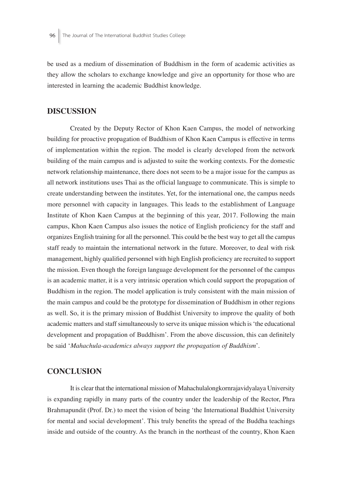be used as a medium of dissemination of Buddhism in the form of academic activities as they allow the scholars to exchange knowledge and give an opportunity for those who are interested in learning the academic Buddhist knowledge.

### **DISCUSSION**

Created by the Deputy Rector of Khon Kaen Campus, the model of networking building for proactive propagation of Buddhism of Khon Kaen Campus is effective in terms of implementation within the region. The model is clearly developed from the network building of the main campus and is adjusted to suite the working contexts. For the domestic network relationship maintenance, there does not seem to be a major issue for the campus as all network institutions uses Thai as the official language to communicate. This is simple to create understanding between the institutes. Yet, for the international one, the campus needs more personnel with capacity in languages. This leads to the establishment of Language Institute of Khon Kaen Campus at the beginning of this year, 2017. Following the main campus, Khon Kaen Campus also issues the notice of English proficiency for the staff and organizes English training for all the personnel. This could be the best way to get all the campus staff ready to maintain the international network in the future. Moreover, to deal with risk management, highly qualified personnel with high English proficiency are recruited to support the mission. Even though the foreign language development for the personnel of the campus is an academic matter, it is a very intrinsic operation which could support the propagation of Buddhism in the region. The model application is truly consistent with the main mission of the main campus and could be the prototype for dissemination of Buddhism in other regions as well. So, it is the primary mission of Buddhist University to improve the quality of both academic matters and staff simultaneously to serve its unique mission which is 'the educational development and propagation of Buddhism'. From the above discussion, this can definitely be said '*Mahachula-academics always support the propagation of Buddhism*'.

### **CONCLUSION**

It is clear that the international mission of Mahachulalongkornrajavidyalaya University is expanding rapidly in many parts of the country under the leadership of the Rector, Phra Brahmapundit (Prof. Dr.) to meet the vision of being 'the International Buddhist University for mental and social development'. This truly benefits the spread of the Buddha teachings inside and outside of the country. As the branch in the northeast of the country, Khon Kaen